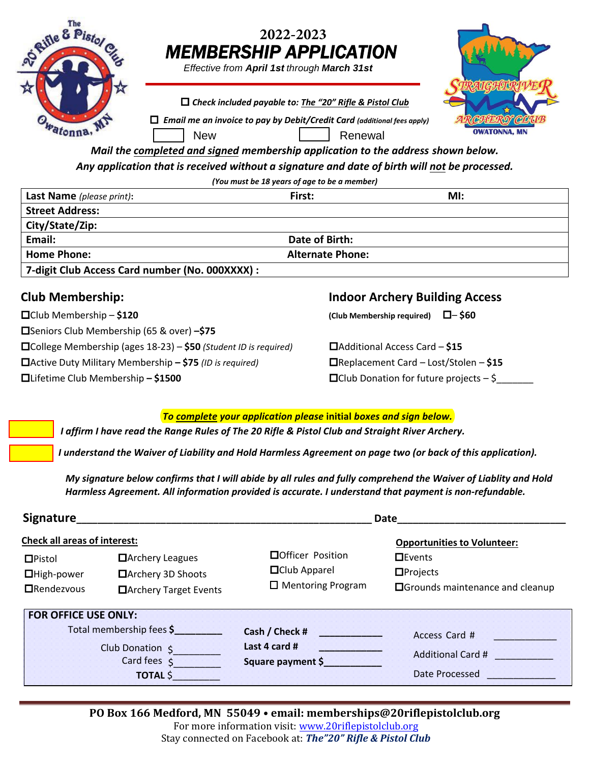| Lite<br>O Rifle &                            | 2022-2023<br><b>MEMBERSHIP APPLICATION</b><br>Effective from April 1st through March 31st                                                                                                                                                                                                                                                                      |                     |  |  |  |
|----------------------------------------------|----------------------------------------------------------------------------------------------------------------------------------------------------------------------------------------------------------------------------------------------------------------------------------------------------------------------------------------------------------------|---------------------|--|--|--|
|                                              | $\Box$ Check included payable to: The "20" Rifle & Pistol Club<br>$\Box$ Email me an invoice to pay by Debit/Credit Card (additional fees apply)<br><b>New</b><br>Renewal<br>Mail the completed and signed membership application to the address shown below.<br>Any application that is received without a signature and date of birth will not be processed. | <b>OWATONNA, MN</b> |  |  |  |
| (You must be 18 years of age to be a member) |                                                                                                                                                                                                                                                                                                                                                                |                     |  |  |  |
| <b>Last Name</b> (please print):             | First:                                                                                                                                                                                                                                                                                                                                                         | MI:                 |  |  |  |
| <b>Street Address:</b>                       |                                                                                                                                                                                                                                                                                                                                                                |                     |  |  |  |
| City/State/Zip:                              |                                                                                                                                                                                                                                                                                                                                                                |                     |  |  |  |
| Email:                                       | Date of Birth:                                                                                                                                                                                                                                                                                                                                                 |                     |  |  |  |
| <b>Home Phone:</b>                           | <b>Alternate Phone:</b>                                                                                                                                                                                                                                                                                                                                        |                     |  |  |  |
|                                              | 7-digit Club Access Card number (No. 000XXXX) :                                                                                                                                                                                                                                                                                                                |                     |  |  |  |

## **Club Membership:**

Club Membership – **\$120**

Seniors Club Membership (65 & over) **–\$75**

College Membership (ages 18-23) – **\$50** *(Student ID is required)*

Active Duty Military Membership **– \$75** *(ID is required)* Lifetime Club Membership **– \$1500**

## **Indoor Archery Building Access**

**(Club Membership required)** – **\$60**

Additional Access Card – **\$15** Replacement Card – Lost/Stolen – **\$15**  $\Box$  Club Donation for future projects  $-\xi$ 

## *To complete your application please* **initial** *boxes and sign below.*

I affirm I have read the Range Rules of The 20 Rifle & Pistol Club and Straight River Archery.

I understand the Waiver of Liability and Hold Harmless Agreement on page two (or back of this application).

 *My signature below confirms that I will abide by all rules and fully comprehend the Waiver of Liablity and Hold Harmless Agreement. All information provided is accurate. I understand that payment is non-refundable.*

| Signature_                                                                                                        |                                                                          | Date                                                                   |                                                                                                                    |
|-------------------------------------------------------------------------------------------------------------------|--------------------------------------------------------------------------|------------------------------------------------------------------------|--------------------------------------------------------------------------------------------------------------------|
| <b>Check all areas of interest:</b><br>$DP$ istol<br>$\Box$ High-power<br>$\Box$ Rendezvous                       | $\Box$ Archery Leagues<br>□ Archery 3D Shoots<br>□ Archery Target Events | □Officer Position<br><b>O</b> Club Apparel<br>$\Box$ Mentoring Program | <b>Opportunities to Volunteer:</b><br>$\Box$ Events<br>$\Box$ Projects<br><b>O</b> Grounds maintenance and cleanup |
| <b>FOR OFFICE USE ONLY:</b><br>Total membership fees \$<br>Club Donation 5<br>Card fees $\zeta$<br><b>TOTAL S</b> |                                                                          | Cash / Check #<br>Last 4 card #<br>Square payment \$                   | Access Card #<br>Additional Card #<br>Date Processed                                                               |